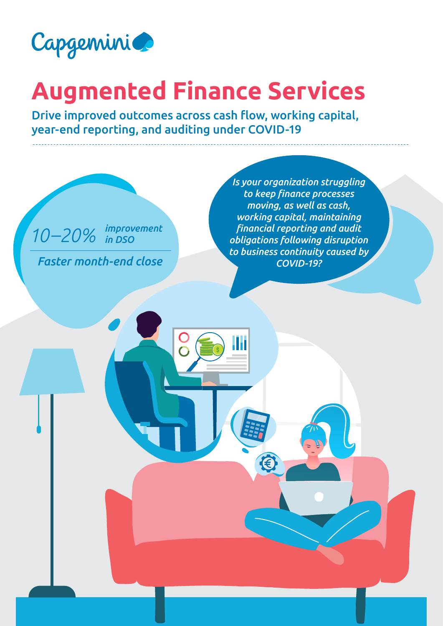

# **Augmented Finance Services**

Drive improved outcomes across cash flow, working capital, year-end reporting, and auditing under COVID-19